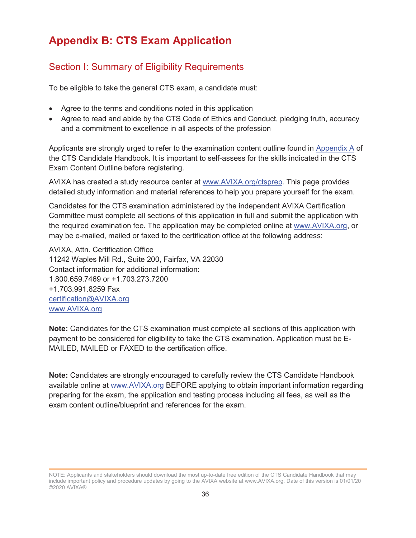# **Appendix B: CTS Exam Application**

## Section I: Summary of Eligibility Requirements

To be eligible to take the general CTS exam, a candidate must:

- Agree to the terms and conditions noted in this application
- Agree to read and abide by the CTS Code of Ethics and Conduct, pledging truth, accuracy and a commitment to excellence in all aspects of the profession

Applicants are strongly urged to refer to the examination content outline found in Appendix A of the CTS Candidate Handbook. It is important to self-assess for the skills indicated in the CTS Exam Content Outline before registering.

AVIXA has created a study resource center at www.AVIXA.org/ctsprep. This page provides detailed study information and material references to help you prepare yourself for the exam.

Candidates for the CTS examination administered by the independent AVIXA Certification Committee must complete all sections of this application in full and submit the application with the required examination fee. The application may be completed online at www.AVIXA.org, or may be e-mailed, mailed or faxed to the certification office at the following address:

AVIXA, Attn. Certification Office 11242 Waples Mill Rd., Suite 200, Fairfax, VA 22030 Contact information for additional information: 1.800.659.7469 or +1.703.273.7200 +1.703.991.8259 Fax certification@AVIXA.org www.AVIXA.org

**Note:** Candidates for the CTS examination must complete all sections of this application with payment to be considered for eligibility to take the CTS examination. Application must be E-MAILED, MAILED or FAXED to the certification office.

**Note:** Candidates are strongly encouraged to carefully review the CTS Candidate Handbook available online at www.AVIXA.org BEFORE applying to obtain important information regarding preparing for the exam, the application and testing process including all fees, as well as the exam content outline/blueprint and references for the exam.

NOTE: Applicants and stakeholders should download the most up-to-date free edition of the CTS Candidate Handbook that may include important policy and procedure updates by going to the AVIXA website at www.AVIXA.org. Date of this version is 01/01/20 ©2020 AVIXA®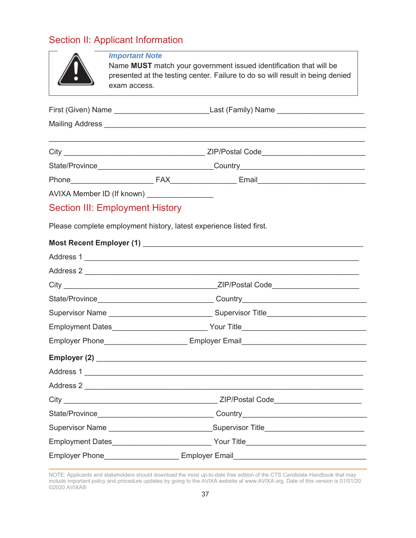# Section II: Applicant Information

|                                                                                   | <b>Important Note</b><br>Name MUST match your government issued identification that will be<br>presented at the testing center. Failure to do so will result in being denied<br>exam access. |                                                                     |  |  |  |  |  |
|-----------------------------------------------------------------------------------|----------------------------------------------------------------------------------------------------------------------------------------------------------------------------------------------|---------------------------------------------------------------------|--|--|--|--|--|
|                                                                                   |                                                                                                                                                                                              |                                                                     |  |  |  |  |  |
|                                                                                   |                                                                                                                                                                                              |                                                                     |  |  |  |  |  |
|                                                                                   |                                                                                                                                                                                              |                                                                     |  |  |  |  |  |
|                                                                                   |                                                                                                                                                                                              |                                                                     |  |  |  |  |  |
|                                                                                   |                                                                                                                                                                                              |                                                                     |  |  |  |  |  |
|                                                                                   | AVIXA Member ID (If known) ________________                                                                                                                                                  |                                                                     |  |  |  |  |  |
|                                                                                   | <b>Section III: Employment History</b>                                                                                                                                                       |                                                                     |  |  |  |  |  |
|                                                                                   |                                                                                                                                                                                              | Please complete employment history, latest experience listed first. |  |  |  |  |  |
|                                                                                   |                                                                                                                                                                                              |                                                                     |  |  |  |  |  |
|                                                                                   |                                                                                                                                                                                              |                                                                     |  |  |  |  |  |
|                                                                                   |                                                                                                                                                                                              | Address 2                                                           |  |  |  |  |  |
|                                                                                   |                                                                                                                                                                                              |                                                                     |  |  |  |  |  |
|                                                                                   |                                                                                                                                                                                              |                                                                     |  |  |  |  |  |
|                                                                                   |                                                                                                                                                                                              |                                                                     |  |  |  |  |  |
|                                                                                   |                                                                                                                                                                                              |                                                                     |  |  |  |  |  |
| Employer Phone_________________________________Employer Email____________________ |                                                                                                                                                                                              |                                                                     |  |  |  |  |  |
|                                                                                   |                                                                                                                                                                                              |                                                                     |  |  |  |  |  |
|                                                                                   |                                                                                                                                                                                              |                                                                     |  |  |  |  |  |
|                                                                                   |                                                                                                                                                                                              | Address 2                                                           |  |  |  |  |  |
|                                                                                   |                                                                                                                                                                                              |                                                                     |  |  |  |  |  |
|                                                                                   |                                                                                                                                                                                              |                                                                     |  |  |  |  |  |
|                                                                                   | Supervisor Name ___________________________________Supervisor Title________________________________                                                                                          |                                                                     |  |  |  |  |  |
|                                                                                   |                                                                                                                                                                                              |                                                                     |  |  |  |  |  |
| <b>Employer Phone</b><br><b>Employer Email</b>                                    |                                                                                                                                                                                              |                                                                     |  |  |  |  |  |

NOTE: Applicants and stakeholders should download the most up-to-date free edition of the CTS Candidate Handbook that may include important policy and procedure updates by going to the AVIXA website at www.AVIXA.org. Date of this version is 01/01/20 ©2020 AVIXA®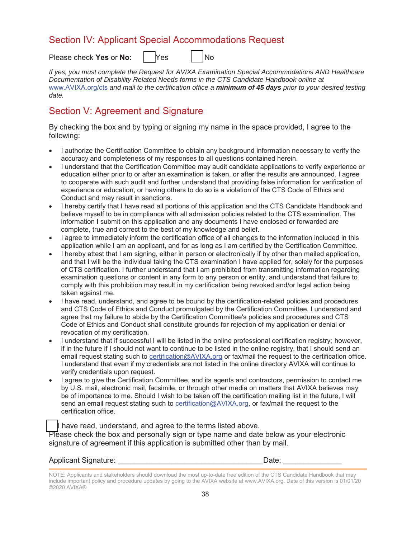## Section IV: Applicant Special Accommodations Request

Please check **Yes** or **No**:  $\vert$  **Yes**  $\vert$  **No** 

*If yes, you must complete the Request for AVIXA Examination Special Accommodations AND Healthcare Documentation of Disability Related Needs forms in the CTS Candidate Handbook online at*  www.AVIXA.org/cts *and mail to the certification office a minimum of 45 days prior to your desired testing date.* 

# Section V: Agreement and Signature

By checking the box and by typing or signing my name in the space provided, I agree to the following:

- I authorize the Certification Committee to obtain any background information necessary to verify the accuracy and completeness of my responses to all questions contained herein.
- I understand that the Certification Committee may audit candidate applications to verify experience or education either prior to or after an examination is taken, or after the results are announced. I agree to cooperate with such audit and further understand that providing false information for verification of experience or education, or having others to do so is a violation of the CTS Code of Ethics and Conduct and may result in sanctions.
- I hereby certify that I have read all portions of this application and the CTS Candidate Handbook and believe myself to be in compliance with all admission policies related to the CTS examination. The information I submit on this application and any documents I have enclosed or forwarded are complete, true and correct to the best of my knowledge and belief.
- I agree to immediately inform the certification office of all changes to the information included in this application while I am an applicant, and for as long as I am certified by the Certification Committee.
- I hereby attest that I am signing, either in person or electronically if by other than mailed application, and that I will be the individual taking the CTS examination I have applied for, solely for the purposes of CTS certification. I further understand that I am prohibited from transmitting information regarding examination questions or content in any form to any person or entity, and understand that failure to comply with this prohibition may result in my certification being revoked and/or legal action being taken against me.
- I have read, understand, and agree to be bound by the certification-related policies and procedures and CTS Code of Ethics and Conduct promulgated by the Certification Committee. I understand and agree that my failure to abide by the Certification Committee's policies and procedures and CTS Code of Ethics and Conduct shall constitute grounds for rejection of my application or denial or revocation of my certification.
- I understand that if successful I will be listed in the online professional certification registry; however, if in the future if I should not want to continue to be listed in the online registry, that I should send an email request stating such to certification@AVIXA.org or fax/mail the request to the certification office. I understand that even if my credentials are not listed in the online directory AVIXA will continue to verify credentials upon request.
- I agree to give the Certification Committee, and its agents and contractors, permission to contact me by U.S. mail, electronic mail, facsimile, or through other media on matters that AVIXA believes may be of importance to me. Should I wish to be taken off the certification mailing list in the future, I will send an email request stating such to certification@AVIXA.org, or fax/mail the request to the certification office.

I have read, understand, and agree to the terms listed above. Please check the box and personally sign or type name and date below as your electronic signature of agreement if this application is submitted other than by mail.

#### Applicant Signature: <u>and</u> the control of the control of the control of the control of the control of the control of the control of the control of the control of the control of the control of the control of the control of

NOTE: Applicants and stakeholders should download the most up-to-date free edition of the CTS Candidate Handbook that may include important policy and procedure updates by going to the AVIXA website at www.AVIXA.org. Date of this version is 01/01/20 ©2020 AVIXA®